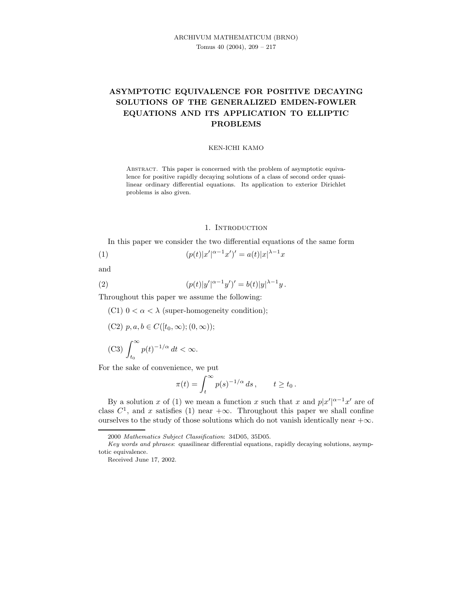# ASYMPTOTIC EQUIVALENCE FOR POSITIVE DECAYING SOLUTIONS OF THE GENERALIZED EMDEN-FOWLER EQUATIONS AND ITS APPLICATION TO ELLIPTIC PROBLEMS

#### KEN-ICHI KAMO

ABSTRACT. This paper is concerned with the problem of asymptotic equivalence for positive rapidly decaying solutions of a class of second order quasilinear ordinary differential equations. Its application to exterior Dirichlet problems is also given.

### 1. INTRODUCTION

In this paper we consider the two differential equations of the same form

(1) 
$$
(p(t)|x'|^{\alpha-1}x')' = a(t)|x|^{\lambda-1}x
$$

and

(2) 
$$
(p(t)|y'|^{\alpha-1}y')' = b(t)|y|^{\lambda-1}y.
$$

Throughout this paper we assume the following:

(C1)  $0 < \alpha < \lambda$  (super-homogeneity condition);

(C2)  $p, a, b \in C([t_0, \infty); (0, \infty));$ 

(C3) 
$$
\int_{t_0}^{\infty} p(t)^{-1/\alpha} dt < \infty.
$$

For the sake of convenience, we put

$$
\pi(t) = \int_t^\infty p(s)^{-1/\alpha} \, ds \,, \qquad t \ge t_0 \,.
$$

By a solution x of (1) we mean a function x such that x and  $p|x'|^{\alpha-1}x'$  are of class  $C^1$ , and x satisfies (1) near  $+\infty$ . Throughout this paper we shall confine ourselves to the study of those solutions which do not vanish identically near  $+\infty$ .

<sup>2000</sup> Mathematics Subject Classification: 34D05, 35D05.

Key words and phrases: quasilinear differential equations, rapidly decaying solutions, asymptotic equivalence.

Received June 17, 2002.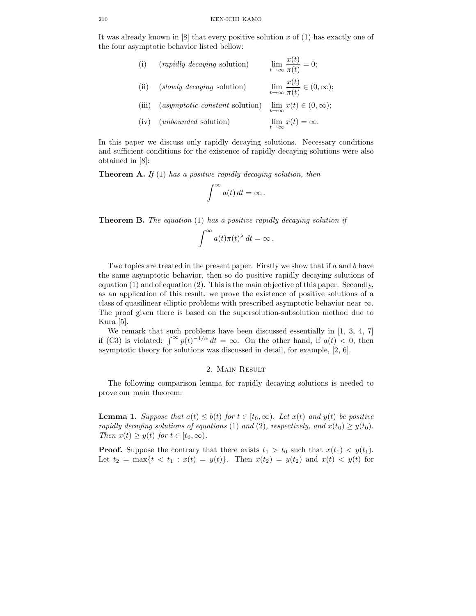It was already known in  $[8]$  that every positive solution x of  $(1)$  has exactly one of the four asymptotic behavior listed bellow:

| (i)   | ( <i>rapidly decaying</i> solution) | $\lim_{t\to\infty}\frac{x(t)}{\pi(t)}=0;$            |
|-------|-------------------------------------|------------------------------------------------------|
| (ii)  | (slowly decaying solution)          | $\lim_{t\to\infty}\frac{x(t)}{\pi(t)}\in(0,\infty);$ |
| (iii) | (asymptotic constant solution)      | $\lim_{t\to\infty}x(t)\in(0,\infty);$                |
| (iv)  | ( <i>unbounded</i> solution)        | $\lim_{t\to\infty}x(t)=\infty.$                      |

In this paper we discuss only rapidly decaying solutions. Necessary conditions and sufficient conditions for the existence of rapidly decaying solutions were also obtained in [8]:

**Theorem A.** If (1) has a positive rapidly decaying solution, then

$$
\int^{\infty} a(t) dt = \infty.
$$

**Theorem B.** The equation  $(1)$  has a positive rapidly decaying solution if

$$
\int^{\infty} a(t)\pi(t)^{\lambda} dt = \infty.
$$

Two topics are treated in the present paper. Firstly we show that if  $a$  and  $b$  have the same asymptotic behavior, then so do positive rapidly decaying solutions of equation (1) and of equation (2). This is the main objective of this paper. Secondly, as an application of this result, we prove the existence of positive solutions of a class of quasilinear elliptic problems with prescribed asymptotic behavior near  $\infty$ . The proof given there is based on the supersolution-subsolution method due to Kura [5].

We remark that such problems have been discussed essentially in [1, 3, 4, 7] if (C3) is violated:  $\int_{0}^{\infty} p(t)^{-1/\alpha} dt = \infty$ . On the other hand, if  $a(t) < 0$ , then asymptotic theory for solutions was discussed in detail, for example, [2, 6].

## 2. Main Result

The following comparison lemma for rapidly decaying solutions is needed to prove our main theorem:

**Lemma 1.** Suppose that  $a(t) \leq b(t)$  for  $t \in [t_0, \infty)$ . Let  $x(t)$  and  $y(t)$  be positive rapidly decaying solutions of equations (1) and (2), respectively, and  $x(t_0) \geq y(t_0)$ . Then  $x(t) \geq y(t)$  for  $t \in [t_0, \infty)$ .

**Proof.** Suppose the contrary that there exists  $t_1 > t_0$  such that  $x(t_1) < y(t_1)$ . Let  $t_2 = \max\{t \, \langle t_1 : x(t) = y(t)\}\$ . Then  $x(t_2) = y(t_2)$  and  $x(t) \, \langle y(t) \rangle$  for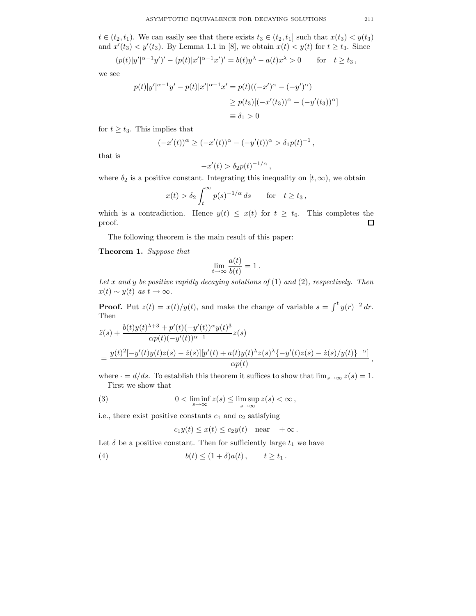$t \in (t_2, t_1)$ . We can easily see that there exists  $t_3 \in (t_2, t_1]$  such that  $x(t_3) < y(t_3)$ and  $x'(t_3) < y'(t_3)$ . By Lemma 1.1 in [8], we obtain  $x(t) < y(t)$  for  $t \ge t_3$ . Since

$$
(p(t)|y'|^{\alpha-1}y')' - (p(t)|x'|^{\alpha-1}x')' = b(t)y^{\lambda} - a(t)x^{\lambda} > 0 \quad \text{for} \quad t \ge t_3,
$$

we see

$$
p(t)|y'|^{\alpha-1}y' - p(t)|x'|^{\alpha-1}x' = p(t)((-x')^{\alpha} - (-y')^{\alpha})
$$
  
\n
$$
\ge p(t_3)[(-x'(t_3))^{\alpha} - (-y'(t_3))^{\alpha}]
$$
  
\n
$$
\equiv \delta_1 > 0
$$

for  $t \geq t_3$ . This implies that

$$
(-x'(t))^{\alpha} \ge (-x'(t))^{\alpha} - (-y'(t))^{\alpha} > \delta_1 p(t)^{-1},
$$

that is

$$
-x'(t) > \delta_2 p(t)^{-1/\alpha}
$$

,

where  $\delta_2$  is a positive constant. Integrating this inequality on  $[t, \infty)$ , we obtain

$$
x(t) > \delta_2 \int_t^{\infty} p(s)^{-1/\alpha} ds \quad \text{for} \quad t \ge t_3,
$$

which is a contradiction. Hence  $y(t) \leq x(t)$  for  $t \geq t_0$ . This completes the proof.  $\Box$ 

The following theorem is the main result of this paper:

Theorem 1. Suppose that

$$
\lim_{t \to \infty} \frac{a(t)}{b(t)} = 1.
$$

Let x and y be positive rapidly decaying solutions of  $(1)$  and  $(2)$ , respectively. Then  $x(t) \sim y(t)$  as  $t \to \infty$ .

**Proof.** Put  $z(t) = x(t)/y(t)$ , and make the change of variable  $s = \int_0^t y(r)^{-2} dr$ . Then

$$
\begin{aligned} \ddot{z}(s) + \frac{b(t)y(t)^{\lambda+3} + p'(t)(-y'(t))^{\alpha}y(t)^{3}}{\alpha p(t)(-y'(t))^{\alpha-1}} z(s) \\ &= \frac{y(t)^{2}[-y'(t)y(t)z(s) - \dot{z}(s)][p'(t) + a(t)y(t)^{\lambda}z(s)^{\lambda}\{-y'(t)z(s) - \dot{z}(s)/y(t)\}^{-\alpha}]}{\alpha p(t)} \end{aligned}
$$

where  $\cdot = d/ds$ . To establish this theorem it suffices to show that  $\lim_{s\to\infty} z(s) = 1$ . First we show that

(3) 
$$
0 < \liminf_{s \to \infty} z(s) \leq \limsup_{s \to \infty} z(s) < \infty,
$$

i.e., there exist positive constants  $c_1$  and  $c_2$  satisfying

$$
c_1y(t) \leq x(t) \leq c_2y(t)
$$
 near  $+\infty$ .

Let  $\delta$  be a positive constant. Then for sufficiently large  $t_1$  we have

(4) 
$$
b(t) \le (1+\delta)a(t), \qquad t \ge t_1.
$$

,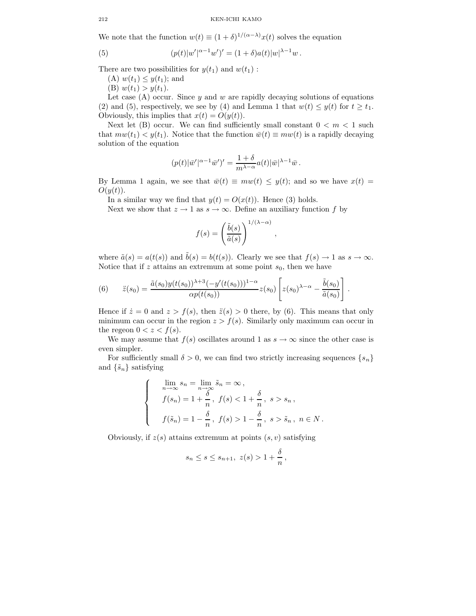We note that the function  $w(t) \equiv (1+\delta)^{1/(\alpha-\lambda)}x(t)$  solves the equation

(5) 
$$
(p(t)|w'|^{\alpha-1}w')' = (1+\delta)a(t)|w|^{\lambda-1}w.
$$

There are two possibilities for  $y(t_1)$  and  $w(t_1)$ :

(A)  $w(t_1) \leq y(t_1)$ ; and

(B)  $w(t_1) > y(t_1)$ .

Let case (A) occur. Since  $y$  and  $w$  are rapidly decaying solutions of equations (2) and (5), respectively, we see by (4) and Lemma 1 that  $w(t) \leq y(t)$  for  $t \geq t_1$ . Obviously, this implies that  $x(t) = O(y(t))$ .

Next let (B) occur. We can find sufficiently small constant  $0 < m < 1$  such that  $mw(t_1) < y(t_1)$ . Notice that the function  $\bar{w}(t) \equiv mw(t)$  is a rapidly decaying solution of the equation

$$
(p(t)|\bar{w}'|^{\alpha-1}\bar{w}')' = \frac{1+\delta}{m^{\lambda-\alpha}}a(t)|\bar{w}|^{\lambda-1}\bar{w}.
$$

By Lemma 1 again, we see that  $\bar{w}(t) \equiv m w(t) \leq y(t)$ ; and so we have  $x(t) =$  $O(y(t)).$ 

In a similar way we find that  $y(t) = O(x(t))$ . Hence (3) holds.

Next we show that  $z \to 1$  as  $s \to \infty$ . Define an auxiliary function f by

$$
f(s) = \left(\frac{\tilde{b}(s)}{\tilde{a}(s)}\right)^{1/(\lambda - \alpha)}
$$

,

where  $\tilde{a}(s) = a(t(s))$  and  $\tilde{b}(s) = b(t(s))$ . Clearly we see that  $f(s) \to 1$  as  $s \to \infty$ . Notice that if z attains an extremum at some point  $s_0$ , then we have

(6) 
$$
\ddot{z}(s_0) = \frac{\tilde{a}(s_0)y(t(s_0))^{\lambda+3}(-y'(t(s_0)))^{1-\alpha}}{\alpha p(t(s_0))}z(s_0)\left[z(s_0)^{\lambda-\alpha}-\frac{\tilde{b}(s_0)}{\tilde{a}(s_0)}\right].
$$

Hence if  $\dot{z} = 0$  and  $z > f(s)$ , then  $\ddot{z}(s) > 0$  there, by (6). This means that only minimum can occur in the region  $z > f(s)$ . Similarly only maximum can occur in the regeon  $0 < z < f(s)$ .

We may assume that  $f(s)$  oscillates around 1 as  $s \to \infty$  since the other case is even simpler.

For sufficiently small  $\delta > 0$ , we can find two strictly increasing sequences  $\{s_n\}$ and  $\{\tilde{s}_n\}$  satisfying

$$
\begin{cases}\n\lim_{n \to \infty} s_n = \lim_{n \to \infty} \tilde{s}_n = \infty, \\
f(s_n) = 1 + \frac{\delta}{n}, \ f(s) < 1 + \frac{\delta}{n}, \ s > s_n, \\
f(\tilde{s}_n) = 1 - \frac{\delta}{n}, \ f(s) > 1 - \frac{\delta}{n}, \ s > \tilde{s}_n, \ n \in N.\n\end{cases}
$$

Obviously, if  $z(s)$  attains extremum at points  $(s, v)$  satisfying

$$
s_n \le s \le s_{n+1}, \ z(s) > 1 + \frac{\delta}{n}
$$

,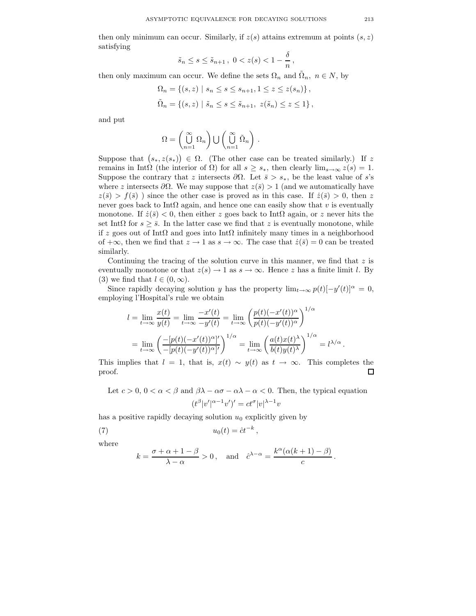then only minimum can occur. Similarly, if  $z(s)$  attains extremum at points  $(s, z)$ satisfying

$$
\tilde{s}_n \le s \le \tilde{s}_{n+1}, \ 0 < z(s) < 1 - \frac{\delta}{n},
$$

then only maximum can occur. We define the sets  $\Omega_n$  and  $\tilde{\Omega}_n$ ,  $n \in N$ , by

$$
\Omega_n = \{ (s, z) \mid s_n \le s \le s_{n+1}, 1 \le z \le z(s_n) \},\
$$
  

$$
\tilde{\Omega}_n = \{ (s, z) \mid \tilde{s}_n \le s \le \tilde{s}_{n+1}, z(\tilde{s}_n) \le z \le 1 \},
$$

and put

$$
\Omega = \left(\bigcup_{n=1}^{\infty} \Omega_n\right) \bigcup \left(\bigcup_{n=1}^{\infty} \tilde{\Omega}_n\right).
$$

Suppose that  $(s_*, z(s_*)\in \Omega$ . (The other case can be treated similarly.) If z remains in IntΩ (the interior of  $\Omega$ ) for all  $s \geq s_*$ , then clearly  $\lim_{s\to\infty} z(s) = 1$ . Suppose the contrary that z intersects  $\partial\Omega$ . Let  $\bar{s} > s_*$ , be the least value of s's where z intersects  $\partial\Omega$ . We may suppose that  $z(\bar{s}) > 1$  (and we automatically have  $z(\bar{s}) > f(\bar{s})$  ) since the other case is proved as in this case. If  $\dot{z}(\bar{s}) > 0$ , then z never goes back to IntΩ again, and hence one can easily show that v is eventually monotone. If  $\dot{z}(\bar{s}) < 0$ , then either z goes back to IntΩ again, or z never hits the set IntΩ for  $s \geq \overline{s}$ . In the latter case we find that z is eventually monotone, while if z goes out of IntΩ and goes into IntΩ infinitely many times in a neighborhood of  $+\infty$ , then we find that  $z \to 1$  as  $s \to \infty$ . The case that  $\dot{z}(\bar{s}) = 0$  can be treated similarly.

Continuing the tracing of the solution curve in this manner, we find that  $z$  is eventually monotone or that  $z(s) \to 1$  as  $s \to \infty$ . Hence z has a finite limit l. By (3) we find that  $l \in (0, \infty)$ .

Since rapidly decaying solution y has the property  $\lim_{t\to\infty} p(t)[-y'(t)]^{\alpha} = 0$ , employing l'Hospital's rule we obtain

$$
l = \lim_{t \to \infty} \frac{x(t)}{y(t)} = \lim_{t \to \infty} \frac{-x'(t)}{-y'(t)} = \lim_{t \to \infty} \left(\frac{p(t)(-x'(t))^{\alpha}}{p(t)(-y'(t))^{\alpha}}\right)^{1/\alpha}
$$
  
= 
$$
\lim_{t \to \infty} \left(\frac{-[p(t)(-x'(t))^{\alpha}]}{-[p(t)(-y'(t))^{\alpha}]'}\right)^{1/\alpha} = \lim_{t \to \infty} \left(\frac{a(t)x(t)^{\lambda}}{b(t)y(t)^{\lambda}}\right)^{1/\alpha} = l^{\lambda/\alpha}.
$$

This implies that  $l = 1$ , that is,  $x(t) \sim y(t)$  as  $t \to \infty$ . This completes the proof.  $\Box$ 

Let  $c > 0$ ,  $0 < \alpha < \beta$  and  $\beta\lambda - \alpha\sigma - \alpha\lambda - \alpha < 0$ . Then, the typical equation  $(t^{\beta}|v'|^{\alpha-1}v')' = ct^{\sigma}|v|^{\lambda-1}v$ 

has a positive rapidly decaying solution  $u_0$  explicitly given by

u0(t) = ctˆ −k (7) ,

where

$$
k = \frac{\sigma + \alpha + 1 - \beta}{\lambda - \alpha} > 0
$$
, and  $\hat{c}^{\lambda - \alpha} = \frac{k^{\alpha}(\alpha(k+1) - \beta)}{c}$ .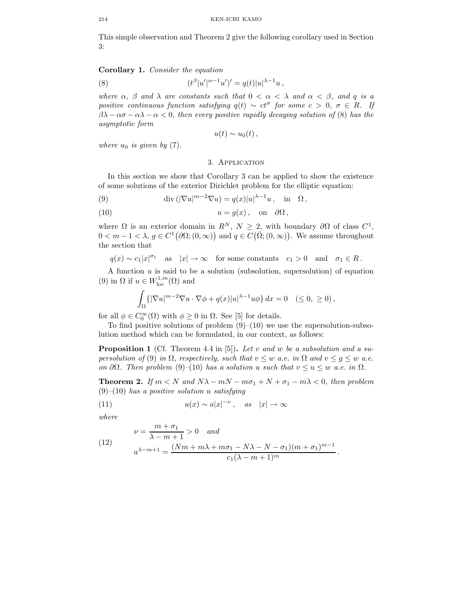This simple observation and Theorem 2 give the following corollary used in Section 3:

## Corollary 1. Consider the equation

(8) 
$$
(t^{\beta}|u'|^{\alpha-1}u')' = q(t)|u|^{\lambda-1}u,
$$

where  $\alpha$ ,  $\beta$  and  $\lambda$  are constants such that  $0 < \alpha < \lambda$  and  $\alpha < \beta$ , and q is a positive continuous function satisfying  $q(t) \sim ct^{\sigma}$  for some  $c > 0$ ,  $\sigma \in R$ . If  $\beta\lambda - \alpha\sigma - \alpha\lambda - \alpha < 0$ , then every positive rapidly decaying solution of (8) has the asymptotic form

$$
u(t)\sim u_0(t)\,,
$$

where  $u_0$  is given by (7).

## 3. Application

In this section we show that Corollary 3 can be applied to show the existence of some solutions of the exterior Dirichlet problem for the elliptic equation:

(9)  $\operatorname{div} \left( |\nabla u|^{m-2} \nabla u \right) = q(x)|u|^{\lambda - 1} u, \text{ in } \Omega,$ 

(10) 
$$
u = g(x)
$$
, on  $\partial \Omega$ ,

where  $\Omega$  is an exterior domain in  $R^N$ ,  $N \geq 2$ , with boundary  $\partial \Omega$  of class  $C^1$ ,  $0 < m - 1 < \lambda, g \in C^1(\partial\Omega; (0, \infty))$  and  $q \in C(\overline{\Omega}; (0, \infty))$ . We assume throughout the section that

 $q(x) \sim c_1 |x|^{\sigma_1}$  as  $|x| \to \infty$  for some constants  $c_1 > 0$  and  $\sigma_1 \in R$ .

A function  $u$  is said to be a solution (subsolution, supersolution) of equation (9) in  $\Omega$  if  $u \in W^{1,m}_{loc}(\Omega)$  and

$$
\int_{\Omega} \{ |\nabla u|^{m-2} \nabla u \cdot \nabla \phi + q(x)|u|^{\lambda - 1} u \phi \} dx = 0 \quad (\le 0, \ge 0),
$$

for all  $\phi \in C_0^{\infty}(\Omega)$  with  $\phi \ge 0$  in  $\Omega$ . See [5] for details.

To find positive solutions of problem  $(9)$ – $(10)$  we use the supersolution-subsolution method which can be formulated, in our context, as follows:

**Proposition 1** (Cf. Theorem 4.4 in [5]). Let v and w be a subsolution and a supersolution of (9) in  $\Omega$ , respectively, such that  $v \leq w$  a.e. in  $\Omega$  and  $v \leq q \leq w$  a.e. on ∂Ω. Then problem (9)–(10) has a solution u such that  $v \le u \le w$  a.e. in  $\Omega$ .

**Theorem 2.** If  $m < N$  and  $N\lambda - mN - m\sigma_1 + N + \sigma_1 - m\lambda < 0$ , then problem  $(9)$ – $(10)$  has a positive solution u satisfying

(11) 
$$
u(x) \sim a|x|^{-\nu}, \quad as \quad |x| \to \infty
$$

where

(12) 
$$
\nu = \frac{m + \sigma_1}{\lambda - m + 1} > 0 \text{ and}
$$

$$
a^{\lambda - m + 1} = \frac{(Nm + m\lambda + m\sigma_1 - N\lambda - N - \sigma_1)(m + \sigma_1)^{m - 1}}{c_1(\lambda - m + 1)^m}.
$$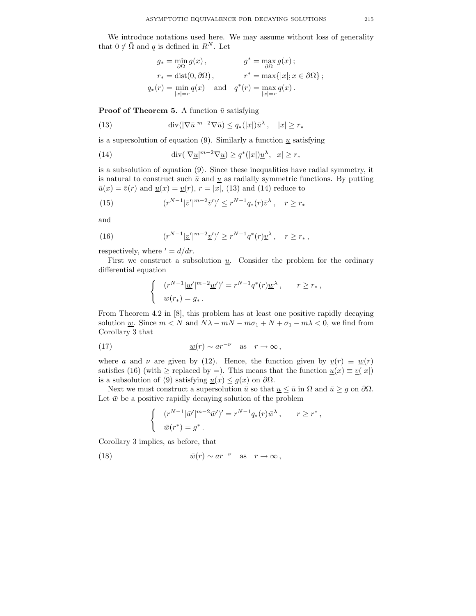We introduce notations used here. We may assume without loss of generality that  $0 \notin \overline{\Omega}$  and q is defined in  $R^N$ . Let

$$
g_* = \min_{\partial\Omega} g(x), \qquad \qquad g^* = \max_{\partial\Omega} g(x);
$$
  
\n
$$
r_* = \text{dist}(0, \partial\Omega), \qquad \qquad r^* = \max\{|x|; x \in \partial\Omega\};
$$
  
\n
$$
q_*(r) = \min_{|x|=r} q(x) \quad \text{and} \quad q^*(r) = \max_{|x|=r} q(x).
$$

**Proof of Theorem 5.** A function  $\bar{u}$  satisfying

(13) 
$$
\operatorname{div}(|\nabla \bar{u}|^{m-2}\nabla \bar{u}) \le q_*(|x|)\bar{u}^{\lambda}, \quad |x| \ge r_*
$$

is a supersolution of equation (9). Similarly a function  $\underline{u}$  satisfying

(14) 
$$
\operatorname{div}(|\nabla \underline{u}|^{m-2}\nabla \underline{u}) \ge q^*(|x|)\underline{u}^{\lambda}, \ |x| \ge r_*
$$

is a subsolution of equation (9). Since these inequalities have radial symmetry, it is natural to construct such  $\bar{u}$  and  $\bar{u}$  as radially symmetric functions. By putting  $\bar{u}(x) = \bar{v}(r)$  and  $\underline{u}(x) = \underline{v}(r)$ ,  $r = |x|$ , (13) and (14) reduce to

(15) 
$$
(r^{N-1}|\bar{v}'|^{m-2}\bar{v}')' \leq r^{N-1}q_*(r)\bar{v}^{\lambda}, \quad r \geq r_*
$$

and

(16) 
$$
(r^{N-1}|\underline{v}'|^{m-2}\underline{v}')' \ge r^{N-1}q^*(r)\underline{v}^{\lambda}, \quad r \ge r_*,
$$

respectively, where  $d = d/dr$ .

First we construct a subsolution  $\underline{u}$ . Consider the problem for the ordinary differential equation

$$
\left\{\begin{array}{ll} &(r^{N-1}|\underline{w}'|^{m-2}\underline{w}')'=r^{N-1}q^*(r)\underline{w}^\lambda\,,\quad & r\geq r_*\,,\\[2mm] \underline{w}(r_*)=g_*\,. \end{array}\right.
$$

From Theorem 4.2 in [8], this problem has at least one positive rapidly decaying solution <u>w</u>. Since  $m < N$  and  $N\lambda - mN - m\sigma_1 + N + \sigma_1 - m\lambda < 0$ , we find from Corollary 3 that

(17) 
$$
\underline{w}(r) \sim ar^{-\nu} \quad \text{as} \quad r \to \infty,
$$

where a and v are given by (12). Hence, the function given by  $v(r) \equiv w(r)$ satisfies (16) (with  $\geq$  replaced by =). This means that the function  $\underline{u}(x) \equiv \underline{v}(|x|)$ is a subsolution of (9) satisfying  $\underline{u}(x) \leq g(x)$  on  $\partial \Omega$ .

Next we must construct a supersolution  $\bar{u}$  so that  $\underline{u} \leq \bar{u}$  in  $\Omega$  and  $\bar{u} \geq g$  on  $\partial \Omega$ . Let  $\bar{w}$  be a positive rapidly decaying solution of the problem

$$
\begin{cases}\n(r^{N-1}|\bar{w}'|^{m-2}\bar{w}')' = r^{N-1}q_*(r)\bar{w}^\lambda, & r \geq r^*, \\
\bar{w}(r^*) = g^*. & \n\end{cases}
$$

Corollary 3 implies, as before, that

(18) 
$$
\bar{w}(r) \sim ar^{-\nu} \quad \text{as} \quad r \to \infty,
$$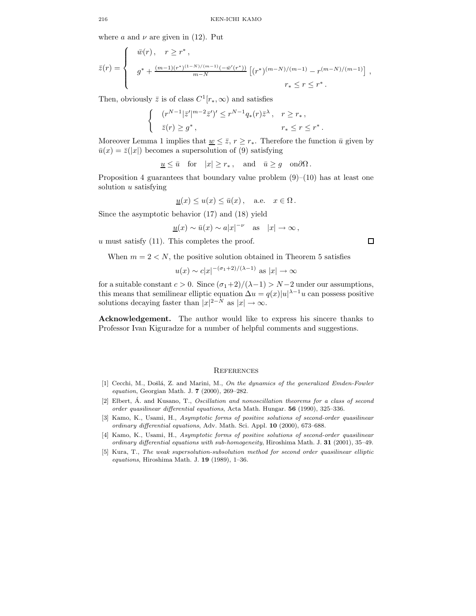where a and  $\nu$  are given in (12). Put

$$
\bar{z}(r) = \begin{cases}\n\bar{w}(r), & r \geq r^*, \\
g^* + \frac{(m-1)(r^*)^{(1-N)/(m-1)}(-\bar{w}'(r^*))}{m-N} \left[ (r^*)^{(m-N)/(m-1)} - r^{(m-N)/(m-1)} \right], \\
r_* \leq r \leq r^*. \n\end{cases}
$$

Then, obviously  $\bar{z}$  is of class  $C^1[r_*,\infty)$  and satisfies

$$
\begin{cases} (r^{N-1}|\bar{z}'|^{m-2}\bar{z}')' \le r^{N-1}q_*(r)\bar{z}^{\lambda}, & r \ge r_*, \\ \bar{z}(r) \ge g^*, & r_* \le r \le r^*. \end{cases}
$$

Moreover Lemma 1 implies that  $\underline{w} \leq \overline{z}$ ,  $r \geq r_*$ . Therefore the function  $\overline{u}$  given by  $\bar{u}(x) = \bar{z}(|x|)$  becomes a supersolution of (9) satisfying

$$
\underline{u} \le \bar{u} \quad \text{for} \quad |x| \ge r_*, \quad \text{and} \quad \bar{u} \ge g \quad \text{on} \partial \Omega \, .
$$

Proposition 4 guarantees that boundary value problem  $(9)$ – $(10)$  has at least one solution  $u$  satisfying

$$
\underline{u}(x) \le u(x) \le \bar{u}(x), \quad \text{a.e.} \quad x \in \Omega.
$$

Since the asymptotic behavior (17) and (18) yield

$$
\underline{u}(x) \sim \bar{u}(x) \sim a|x|^{-\nu} \quad \text{as} \quad |x| \to \infty \,,
$$

 $u$  must satisfy  $(11)$ . This completes the proof.

When  $m = 2 < N$ , the positive solution obtained in Theorem 5 satisfies

$$
u(x) \sim c|x|^{-(\sigma_1+2)/(\lambda-1)}
$$
 as  $|x| \to \infty$ 

for a suitable constant  $c > 0$ . Since  $(\sigma_1 + 2)/(\lambda - 1) > N - 2$  under our assumptions, this means that semilinear elliptic equation  $\Delta u = q(x)|u|^{\lambda-1}u$  can possess positive solutions decaying faster than  $|x|^{2-N}$  as  $|x| \to \infty$ .

Acknowledgement. The author would like to express his sincere thanks to Professor Ivan Kiguradze for a number of helpful comments and suggestions.

#### **REFERENCES**

- [1] Cecchi, M., Došlá, Z. and Marini, M., On the dynamics of the generalized Emden-Fowler equation, Georgian Math. J. 7 (2000), 269–282.
- $[2]$  Elbert,  $\acute{A}$ . and Kusano, T., Oscillation and nonoscillation theorems for a class of second order quasilinear differential equations, Acta Math. Hungar. 56 (1990), 325–336.
- [3] Kamo, K., Usami, H., Asymptotic forms of positive solutions of second-order quasilinear ordinary differential equations, Adv. Math. Sci. Appl. 10 (2000), 673–688.
- [4] Kamo, K., Usami, H., Asymptotic forms of positive solutions of second-order quasilinear ordinary differential equations with sub-homogeneity, Hiroshima Math. J. 31 (2001), 35–49.
- [5] Kura, T., The weak supersolution-subsolution method for second order quasilinear elliptic equations, Hiroshima Math. J.  $19$  (1989), 1–36.

 $\Box$